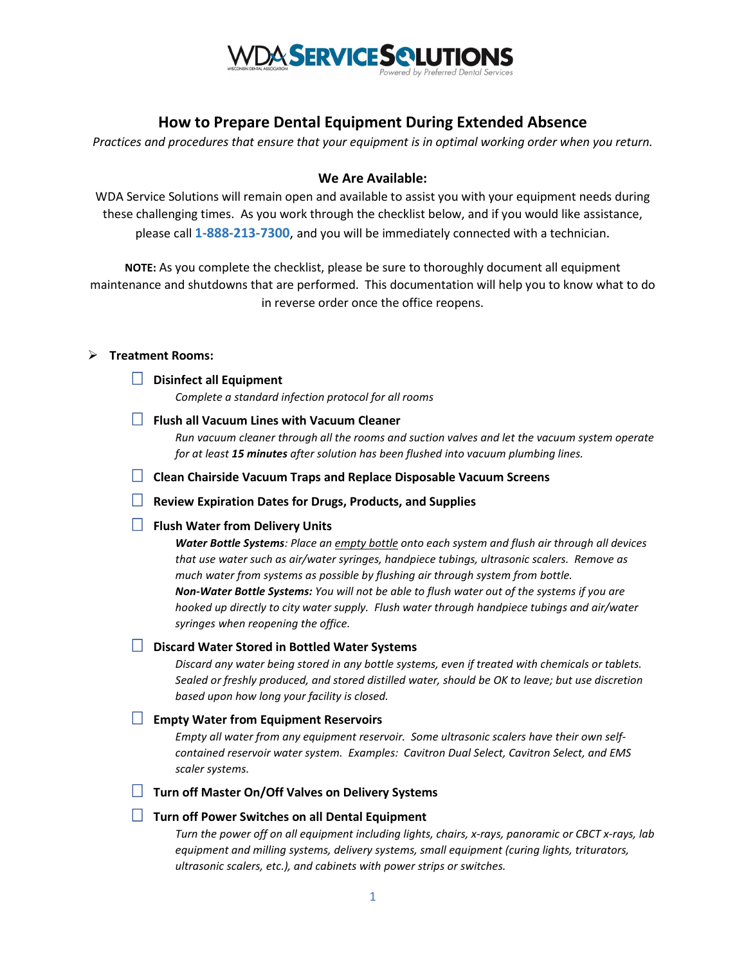

# **How to Prepare Dental Equipment During Extended Absence**

*Practices and procedures that ensure that your equipment is in optimal working order when you return.* 

## **We Are Available:**

WDA Service Solutions will remain open and available to assist you with your equipment needs during these challenging times. As you work through the checklist below, and if you would like assistance, please call **1-888-213-7300**, and you will be immediately connected with a technician.

**NOTE:** As you complete the checklist, please be sure to thoroughly document all equipment maintenance and shutdowns that are performed. This documentation will help you to know what to do in reverse order once the office reopens.

#### **Treatment Rooms:**

**Disinfect all Equipment** 

*Complete a standard infection protocol for all rooms*

**Flush all Vacuum Lines with Vacuum Cleaner**

*Run vacuum cleaner through all the rooms and suction valves and let the vacuum system operate for at least 15 minutes after solution has been flushed into vacuum plumbing lines.*

**Clean Chairside Vacuum Traps and Replace Disposable Vacuum Screens**

**Review Expiration Dates for Drugs, Products, and Supplies**

# **Flush Water from Delivery Units**

*Water Bottle Systems: Place an empty bottle onto each system and flush air through all devices that use water such as air/water syringes, handpiece tubings, ultrasonic scalers. Remove as much water from systems as possible by flushing air through system from bottle. Non-Water Bottle Systems: You will not be able to flush water out of the systems if you are hooked up directly to city water supply. Flush water through handpiece tubings and air/water syringes when reopening the office.* 

## **Discard Water Stored in Bottled Water Systems**

*Discard any water being stored in any bottle systems, even if treated with chemicals or tablets. Sealed or freshly produced, and stored distilled water, should be OK to leave; but use discretion based upon how long your facility is closed.*

## **Empty Water from Equipment Reservoirs**

*Empty all water from any equipment reservoir. Some ultrasonic scalers have their own selfcontained reservoir water system. Examples: Cavitron Dual Select, Cavitron Select, and EMS scaler systems.*

**Turn off Master On/Off Valves on Delivery Systems**

# **Turn off Power Switches on all Dental Equipment**

*Turn the power off on all equipment including lights, chairs, x-rays, panoramic or CBCT x-rays, lab equipment and milling systems, delivery systems, small equipment (curing lights, triturators, ultrasonic scalers, etc.), and cabinets with power strips or switches.*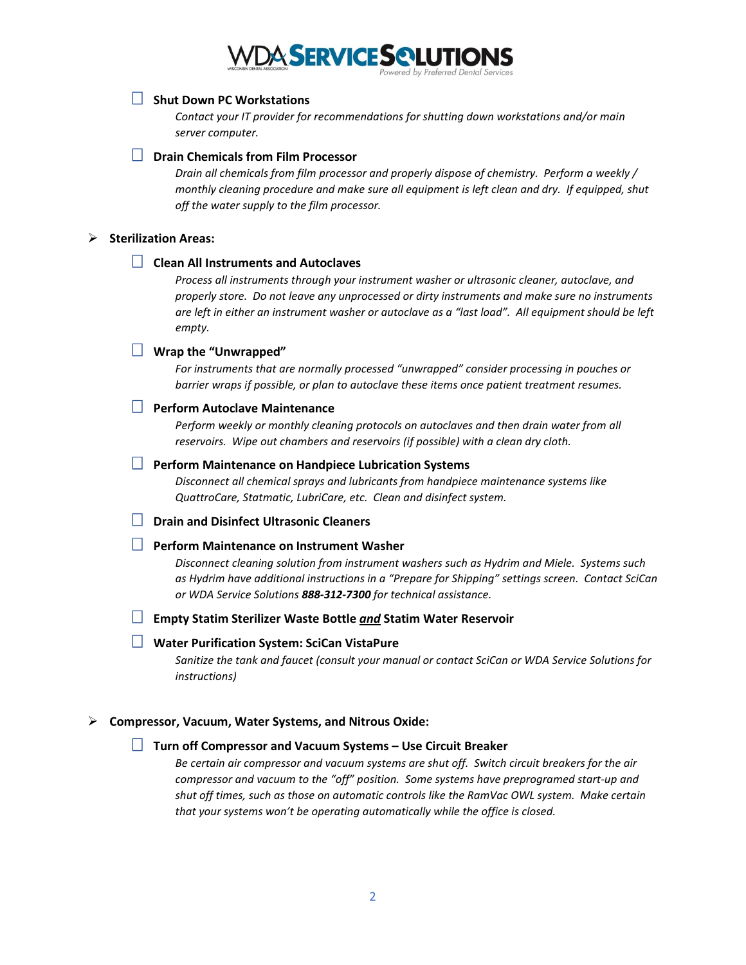# **VDA SERVICE SQLUTIONS**

## **Shut Down PC Workstations**

*Contact your IT provider for recommendations for shutting down workstations and/or main server computer.* 

### **Drain Chemicals from Film Processor**

*Drain all chemicals from film processor and properly dispose of chemistry. Perform a weekly / monthly cleaning procedure and make sure all equipment is left clean and dry. If equipped, shut off the water supply to the film processor.*

#### **Sterilization Areas:**

## **Clean All Instruments and Autoclaves**

*Process all instruments through your instrument washer or ultrasonic cleaner, autoclave, and properly store. Do not leave any unprocessed or dirty instruments and make sure no instruments are left in either an instrument washer or autoclave as a "last load". All equipment should be left empty.*

#### **Wrap the "Unwrapped"**

*For instruments that are normally processed "unwrapped" consider processing in pouches or barrier wraps if possible, or plan to autoclave these items once patient treatment resumes.*

## **Perform Autoclave Maintenance**

Perform weekly or monthly cleaning protocols on autoclaves and then drain water from all *reservoirs. Wipe out chambers and reservoirs (if possible) with a clean dry cloth.*

#### **Perform Maintenance on Handpiece Lubrication Systems**

*Disconnect all chemical sprays and lubricants from handpiece maintenance systems like QuattroCare, Statmatic, LubriCare, etc. Clean and disinfect system.*

## **Drain and Disinfect Ultrasonic Cleaners**

## **Perform Maintenance on Instrument Washer**

*Disconnect cleaning solution from instrument washers such as Hydrim and Miele. Systems such as Hydrim have additional instructions in a "Prepare for Shipping" settings screen. Contact SciCan or WDA Service Solutions 888-312-7300 for technical assistance.*

#### **Empty Statim Sterilizer Waste Bottle** *and* **Statim Water Reservoir**

### **Water Purification System: SciCan VistaPure**

*Sanitize the tank and faucet (consult your manual or contact SciCan or WDA Service Solutions for instructions)*

#### **Compressor, Vacuum, Water Systems, and Nitrous Oxide:**

## **Turn off Compressor and Vacuum Systems – Use Circuit Breaker**

*Be certain air compressor and vacuum systems are shut off. Switch circuit breakers for the air compressor and vacuum to the "off" position. Some systems have preprogramed start-up and shut off times, such as those on automatic controls like the RamVac OWL system. Make certain that your systems won't be operating automatically while the office is closed.*